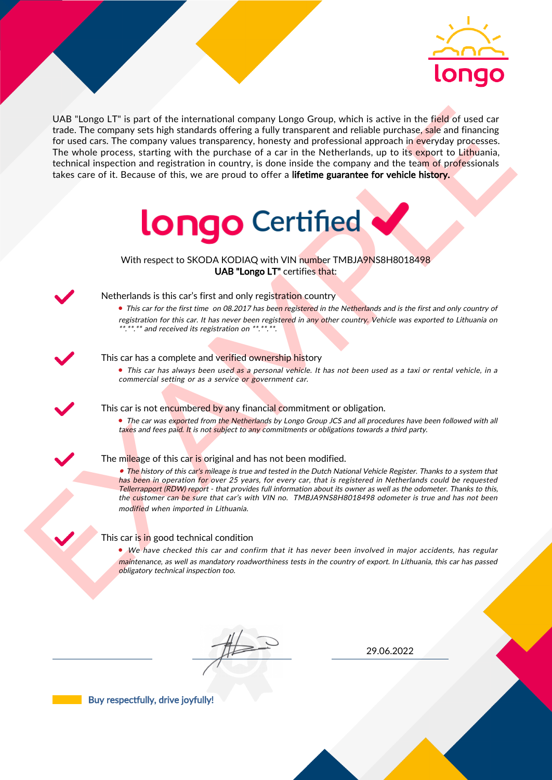

UAS "Lange LIT" is part of the interactional company longe Group, which is active in the field of uast car<br>for the field of under the company since the particle state of the particle and the particle state of the company UAB "Longo LT" is part of the international company Longo Group, which is active in the field of used car trade. The company sets high standards offering a fully transparent and reliable purchase, sale and financing for used cars. The company values transparency, honesty and professional approach in everyday processes. The whole process, starting with the purchase of a car in the Netherlands, up to its export to Lithuania, technical inspection and registration in country, is done inside the company and the team of professionals takes care of it. Because of this, we are proud to offer a lifetime guarantee for vehicle history.



With respect to SKODA KODIAQ with VIN number TMBJA9NS8H8018498 UAB "Longo LT" certifies that:



## Netherlands is this car's first and only registration country

• This car for the first time on 08.2017 has been registered in the Netherlands and is the first and only country of registration for this car. It has never been registered in any other country. Vehicle was exported to Lithuania on \*.\*\*.\*\* and received its registration on \*\*.\*\*.\*\*.

#### This car has a complete and verified ownership history

• This car has always been used as a personal vehicle. It has not been used as a taxi or rental vehicle, in a commercial setting or as a service or government car.

This car is not encumbered by any financial commitment or obligation.

• The car was exported from the Netherlands by Longo Group JCS and all procedures have been followed with all taxes and fees paid. It is not subject to any commitments or obligations towards a third party.



#### The mileage of this car is original and has not been modified.

• The history of this car's mileage is true and tested in the Dutch National Vehicle Register. Thanks to a system that has been in operation for over 25 years, for every car, that is registered in Netherlands could be requested Tellerrapport (RDW) report - that provides full information about its owner as well as the odometer. Thanks to this, the customer can be sure that car's with VIN no. TMBJA9NS8H8018498 odometer is true and has not been modified when imported in Lithuania.

### This car is in good technical condition

• We have checked this car and confirm that it has never been involved in major accidents, has regular maintenance, as well as mandatory roadworthiness tests in the country of export. In Lithuania, this car has passed obligatory technical inspection too.

29.06.2022

Buy respectfully, drive joyfully!